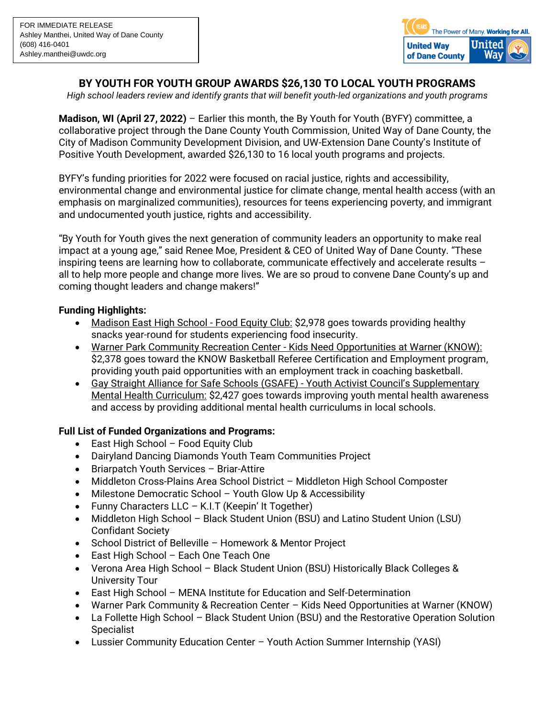

# **BY YOUTH FOR YOUTH GROUP AWARDS \$26,130 TO LOCAL YOUTH PROGRAMS**

*High school leaders review and identify grants that will benefit youth-led organizations and youth programs*

**Madison, WI (April 27, 2022)** – Earlier this month, the By Youth for Youth (BYFY) committee, a collaborative project through the Dane County Youth Commission, United Way of Dane County, the City of Madison Community Development Division, and UW-Extension Dane County's Institute of Positive Youth Development, awarded \$26,130 to 16 local youth programs and projects.

BYFY's funding priorities for 2022 were focused on racial justice, rights and accessibility, environmental change and environmental justice for climate change, mental health access (with an emphasis on marginalized communities), resources for teens experiencing poverty, and immigrant and undocumented youth justice, rights and accessibility.

"By Youth for Youth gives the next generation of community leaders an opportunity to make real impact at a young age," said Renee Moe, President & CEO of United Way of Dane County. "These inspiring teens are learning how to collaborate, communicate effectively and accelerate results – all to help more people and change more lives. We are so proud to convene Dane County's up and coming thought leaders and change makers!"

## **Funding Highlights:**

- Madison East High School Food Equity Club: \$2,978 goes towards providing healthy snacks year-round for students experiencing food insecurity.
- Warner Park Community Recreation Center Kids Need Opportunities at Warner (KNOW): \$2,378 goes toward the KNOW Basketball Referee Certification and Employment program, providing youth paid opportunities with an employment track in coaching basketball.
- Gay Straight Alliance for Safe Schools (GSAFE) Youth Activist Council's Supplementary Mental Health Curriculum: \$2,427 goes towards improving youth mental health awareness and access by providing additional mental health curriculums in local schools.

## **Full List of Funded Organizations and Programs:**

- East High School Food Equity Club
- Dairyland Dancing Diamonds Youth Team Communities Project
- Briarpatch Youth Services Briar-Attire
- Middleton Cross-Plains Area School District Middleton High School Composter
- Milestone Democratic School Youth Glow Up & Accessibility
- Funny Characters LLC K.I.T (Keepin' It Together)
- Middleton High School Black Student Union (BSU) and Latino Student Union (LSU) Confidant Society
- School District of Belleville Homework & Mentor Project
- East High School Each One Teach One
- Verona Area High School Black Student Union (BSU) Historically Black Colleges & University Tour
- East High School MENA Institute for Education and Self-Determination
- Warner Park Community & Recreation Center Kids Need Opportunities at Warner (KNOW)
- La Follette High School Black Student Union (BSU) and the Restorative Operation Solution Specialist
- Lussier Community Education Center Youth Action Summer Internship (YASI)